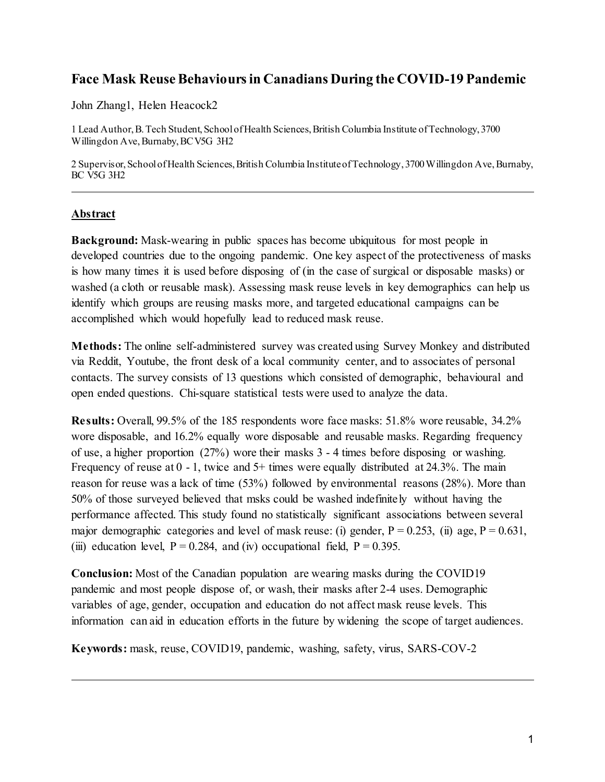# **Face Mask Reuse Behaviours in Canadians During the COVID-19 Pandemic**

John Zhang1, Helen Heacock2

1 Lead Author, B. Tech Student, School of Health Sciences, British Columbia Institute of Technology, 3700 Willingdon Ave, Burnaby, BC V5G 3H2

2 Supervisor, School of Health Sciences, British Columbia Institute of Technology, 3700 Willingdon Ave, Burnaby, BC V5G 3H2

## **Abstract**

**Background:** Mask-wearing in public spaces has become ubiquitous for most people in developed countries due to the ongoing pandemic. One key aspect of the protectiveness of masks is how many times it is used before disposing of (in the case of surgical or disposable masks) or washed (a cloth or reusable mask). Assessing mask reuse levels in key demographics can help us identify which groups are reusing masks more, and targeted educational campaigns can be accomplished which would hopefully lead to reduced mask reuse.

**Methods:** The online self-administered survey was created using Survey Monkey and distributed via Reddit, Youtube, the front desk of a local community center, and to associates of personal contacts. The survey consists of 13 questions which consisted of demographic, behavioural and open ended questions. Chi-square statistical tests were used to analyze the data.

**Results:** Overall, 99.5% of the 185 respondents wore face masks: 51.8% wore reusable, 34.2% wore disposable, and 16.2% equally wore disposable and reusable masks. Regarding frequency of use, a higher proportion (27%) wore their masks 3 - 4 times before disposing or washing. Frequency of reuse at  $0 - 1$ , twice and  $5+$  times were equally distributed at 24.3%. The main reason for reuse was a lack of time (53%) followed by environmental reasons (28%). More than 50% of those surveyed believed that msks could be washed indefinitely without having the performance affected. This study found no statistically significant associations between several major demographic categories and level of mask reuse: (i) gender,  $P = 0.253$ , (ii) age,  $P = 0.631$ , (iii) education level,  $P = 0.284$ , and (iv) occupational field,  $P = 0.395$ .

**Conclusion:** Most of the Canadian population are wearing masks during the COVID19 pandemic and most people dispose of, or wash, their masks after 2-4 uses. Demographic variables of age, gender, occupation and education do not affect mask reuse levels. This information can aid in education efforts in the future by widening the scope of target audiences.

**Keywords:** mask, reuse, COVID19, pandemic, washing, safety, virus, SARS-COV-2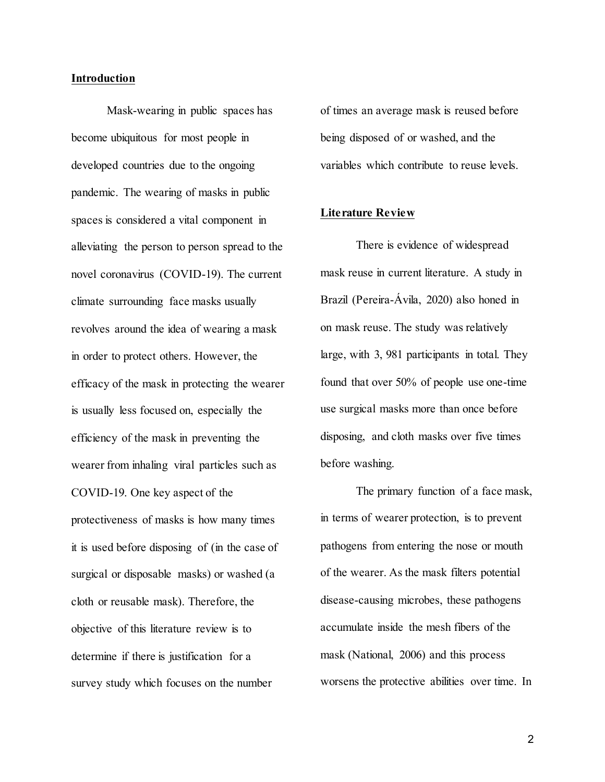### **Introduction**

Mask-wearing in public spaces has become ubiquitous for most people in developed countries due to the ongoing pandemic. The wearing of masks in public spaces is considered a vital component in alleviating the person to person spread to the novel coronavirus (COVID-19). The current climate surrounding face masks usually revolves around the idea of wearing a mask in order to protect others. However, the efficacy of the mask in protecting the wearer is usually less focused on, especially the efficiency of the mask in preventing the wearer from inhaling viral particles such as COVID-19. One key aspect of the protectiveness of masks is how many times it is used before disposing of (in the case of surgical or disposable masks) or washed (a cloth or reusable mask). Therefore, the objective of this literature review is to determine if there is justification for a survey study which focuses on the number

of times an average mask is reused before being disposed of or washed, and the variables which contribute to reuse levels.

### **Literature Review**

There is evidence of widespread mask reuse in current literature. A study in Brazil (Pereira-Ávila, 2020) also honed in on mask reuse. The study was relatively large, with 3, 981 participants in total. They found that over 50% of people use one-time use surgical masks more than once before disposing, and cloth masks over five times before washing.

The primary function of a face mask, in terms of wearer protection, is to prevent pathogens from entering the nose or mouth of the wearer. As the mask filters potential disease-causing microbes, these pathogens accumulate inside the mesh fibers of the mask (National, 2006) and this process worsens the protective abilities over time. In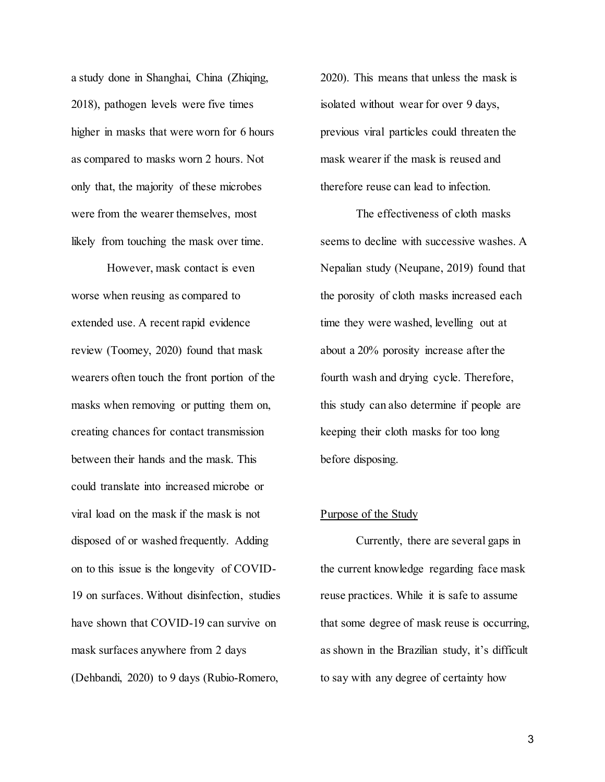a study done in Shanghai, China (Zhiqing, 2018), pathogen levels were five times higher in masks that were worn for 6 hours as compared to masks worn 2 hours. Not only that, the majority of these microbes were from the wearer themselves, most likely from touching the mask over time.

However, mask contact is even worse when reusing as compared to extended use. A recent rapid evidence review (Toomey, 2020) found that mask wearers often touch the front portion of the masks when removing or putting them on, creating chances for contact transmission between their hands and the mask. This could translate into increased microbe or viral load on the mask if the mask is not disposed of or washed frequently. Adding on to this issue is the longevity of COVID-19 on surfaces. Without disinfection, studies have shown that COVID-19 can survive on mask surfaces anywhere from 2 days (Dehbandi, 2020) to 9 days (Rubio-Romero,

2020). This means that unless the mask is isolated without wear for over 9 days, previous viral particles could threaten the mask wearer if the mask is reused and therefore reuse can lead to infection.

The effectiveness of cloth masks seems to decline with successive washes. A Nepalian study (Neupane, 2019) found that the porosity of cloth masks increased each time they were washed, levelling out at about a 20% porosity increase after the fourth wash and drying cycle. Therefore, this study can also determine if people are keeping their cloth masks for too long before disposing.

### Purpose of the Study

Currently, there are several gaps in the current knowledge regarding face mask reuse practices. While it is safe to assume that some degree of mask reuse is occurring, as shown in the Brazilian study, it's difficult to say with any degree of certainty how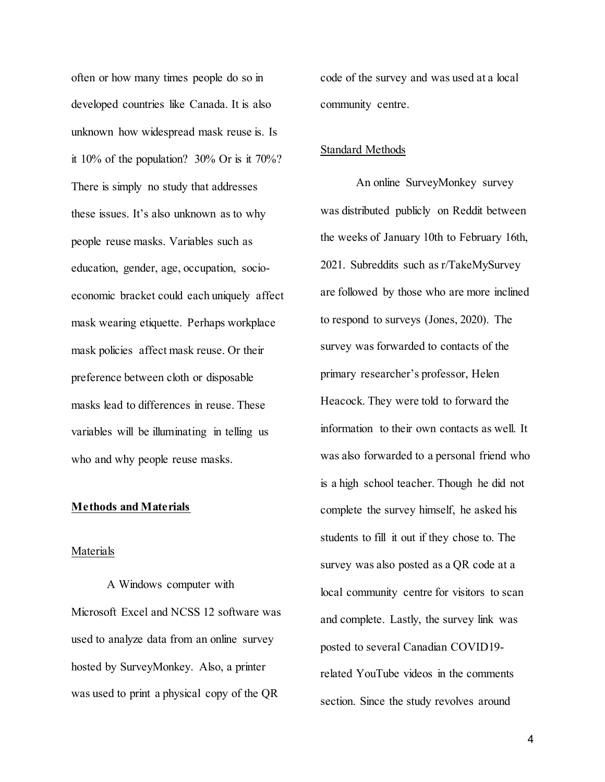often or how many times people do so in developed countries like Canada. It is also unknown how widespread mask reuse is. Is it 10% of the population? 30% Or is it 70%? There is simply no study that addresses these issues. It's also unknown as to why people reuse masks. Variables such as education, gender, age, occupation, socioeconomic bracket could each uniquely affect mask wearing etiquette. Perhaps workplace mask policies affect mask reuse. Or their preference between cloth or disposable masks lead to differences in reuse. These variables will be illuminating in telling us who and why people reuse masks.

### **Methods and Materials**

#### Materials

A Windows computer with Microsoft Excel and NCSS 12 software was used to analyze data from an online survey hosted by SurveyMonkey. Also, a printer was used to print a physical copy of the QR

code of the survey and was used at a local community centre.

#### Standard Methods

An online SurveyMonkey survey was distributed publicly on Reddit between the weeks of January 10th to February 16th, 2021. Subreddits such as r/TakeMySurvey are followed by those who are more inclined to respond to surveys (Jones, 2020). The survey was forwarded to contacts of the primary researcher's professor, Helen Heacock. They were told to forward the information to their own contacts as well. It was also forwarded to a personal friend who is a high school teacher. Though he did not complete the survey himself, he asked his students to fill it out if they chose to. The survey was also posted as a QR code at a local community centre for visitors to scan and complete. Lastly, the survey link was posted to several Canadian COVID19 related YouTube videos in the comments section. Since the study revolves around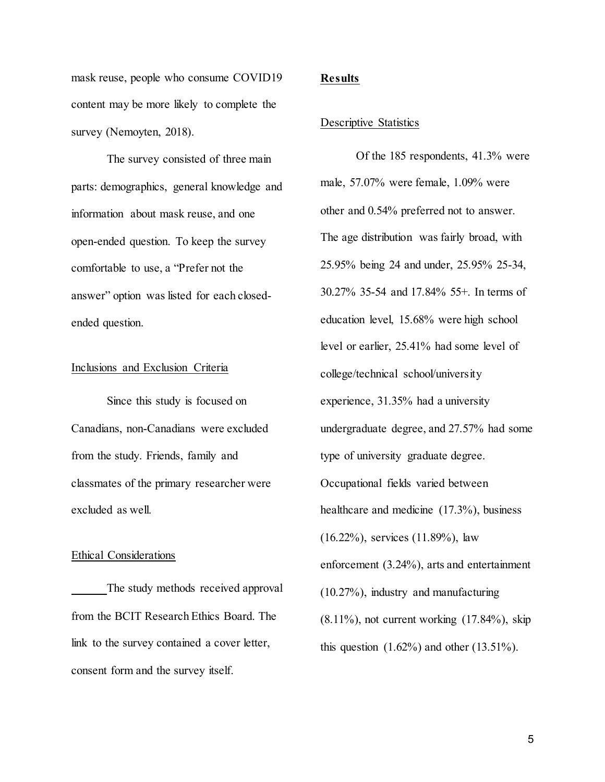mask reuse, people who consume COVID19 content may be more likely to complete the survey (Nemoyten, 2018).

The survey consisted of three main parts: demographics, general knowledge and information about mask reuse, and one open-ended question. To keep the survey comfortable to use, a "Prefer not the answer" option was listed for each closedended question.

#### Inclusions and Exclusion Criteria

Since this study is focused on Canadians, non-Canadians were excluded from the study. Friends, family and classmates of the primary researcher were excluded as well.

## Ethical Considerations

The study methods received approval from the BCIT Research Ethics Board. The link to the survey contained a cover letter, consent form and the survey itself.

### **Results**

#### Descriptive Statistics

Of the 185 respondents, 41.3% were male, 57.07% were female, 1.09% were other and 0.54% preferred not to answer. The age distribution was fairly broad, with 25.95% being 24 and under, 25.95% 25-34, 30.27% 35-54 and 17.84% 55+. In terms of education level, 15.68% were high school level or earlier, 25.41% had some level of college/technical school/university experience, 31.35% had a university undergraduate degree, and 27.57% had some type of university graduate degree. Occupational fields varied between healthcare and medicine (17.3%), business (16.22%), services (11.89%), law enforcement (3.24%), arts and entertainment (10.27%), industry and manufacturing  $(8.11\%)$ , not current working  $(17.84\%)$ , skip this question  $(1.62\%)$  and other  $(13.51\%)$ .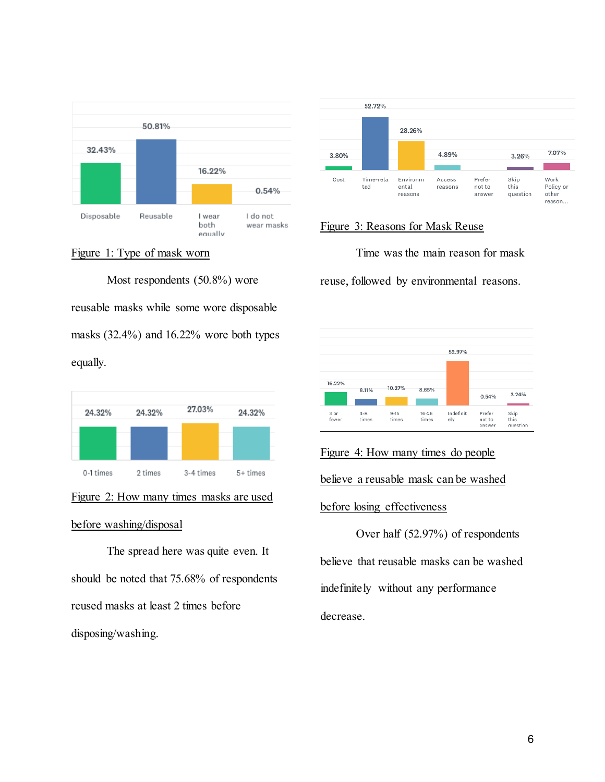



Most respondents (50.8%) wore reusable masks while some wore disposable masks (32.4%) and 16.22% wore both types equally.



## Figure 2: How many times masks are used

### before washing/disposal

The spread here was quite even. It should be noted that 75.68% of respondents reused masks at least 2 times before disposing/washing.



## Figure 3: Reasons for Mask Reuse

Time was the main reason for mask

reuse, followed by environmental reasons.



## Figure 4: How many times do people

believe a reusable mask can be washed

### before losing effectiveness

Over half (52.97%) of respondents believe that reusable masks can be washed indefinitely without any performance decrease.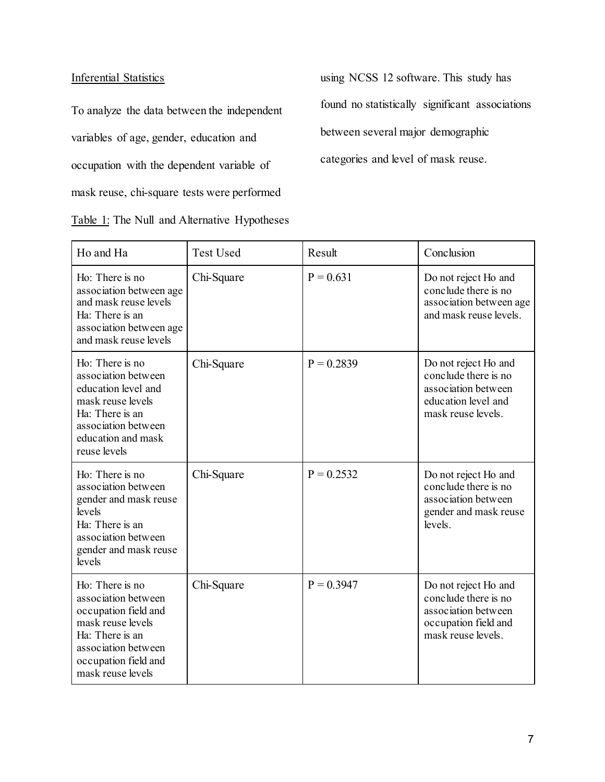## Inferential Statistics

To analyze the data between the independent variables of age, gender, education and occupation with the dependent variable of mask reuse, chi-square tests were performed Table 1: The Null and Alternative Hypotheses using NCSS 12 software. This study has found no statistically significant associations between several major demographic categories and level of mask reuse.

| Ho and Ha                                                                                                                                                                  | <b>Test Used</b> | Result       | Conclusion                                                                                                        |
|----------------------------------------------------------------------------------------------------------------------------------------------------------------------------|------------------|--------------|-------------------------------------------------------------------------------------------------------------------|
| Ho: There is no<br>association between age<br>and mask reuse levels<br>Ha: There is an<br>association between age<br>and mask reuse levels                                 | Chi-Square       | $P = 0.631$  | Do not reject Ho and<br>conclude there is no<br>association between age<br>and mask reuse levels.                 |
| Ho: There is no<br>association between<br>education level and<br>mask reuse levels<br>Ha: There is an<br>association between<br>education and mask<br>reuse levels         | Chi-Square       | $P = 0.2839$ | Do not reject Ho and<br>conclude there is no<br>association between<br>education level and<br>mask reuse levels.  |
| Ho: There is no<br>association between<br>gender and mask reuse<br>levels<br>Ha: There is an<br>association between<br>gender and mask reuse<br>levels                     | Chi-Square       | $P = 0.2532$ | Do not reject Ho and<br>conclude there is no<br>association between<br>gender and mask reuse<br>levels.           |
| Ho: There is no<br>association between<br>occupation field and<br>mask reuse levels<br>Ha: There is an<br>association between<br>occupation field and<br>mask reuse levels | Chi-Square       | $P = 0.3947$ | Do not reject Ho and<br>conclude there is no<br>association between<br>occupation field and<br>mask reuse levels. |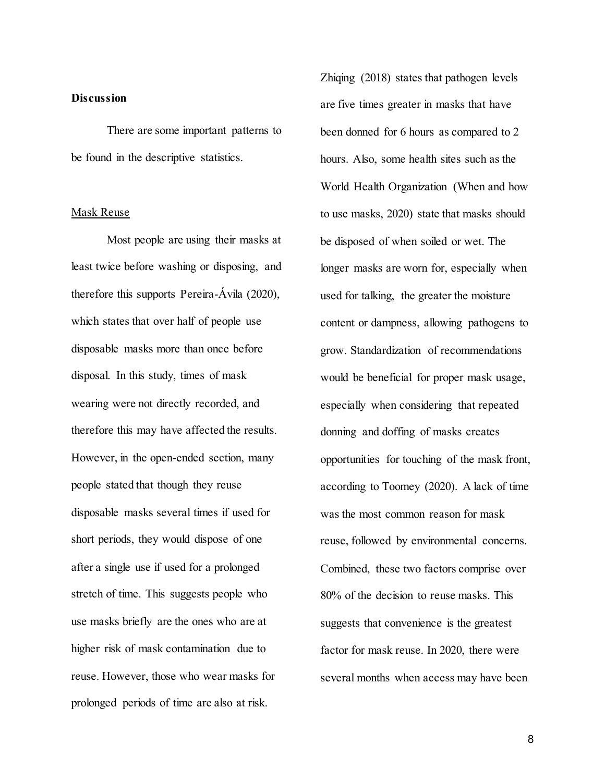## **Discussion**

There are some important patterns to be found in the descriptive statistics.

### Mask Reuse

Most people are using their masks at least twice before washing or disposing, and therefore this supports Pereira-Ávila (2020), which states that over half of people use disposable masks more than once before disposal. In this study, times of mask wearing were not directly recorded, and therefore this may have affected the results. However, in the open-ended section, many people stated that though they reuse disposable masks several times if used for short periods, they would dispose of one after a single use if used for a prolonged stretch of time. This suggests people who use masks briefly are the ones who are at higher risk of mask contamination due to reuse. However, those who wear masks for prolonged periods of time are also at risk.

Zhiqing (2018) states that pathogen levels are five times greater in masks that have been donned for 6 hours as compared to 2 hours. Also, some health sites such as the World Health Organization (When and how to use masks, 2020) state that masks should be disposed of when soiled or wet. The longer masks are worn for, especially when used for talking, the greater the moisture content or dampness, allowing pathogens to grow. Standardization of recommendations would be beneficial for proper mask usage, especially when considering that repeated donning and doffing of masks creates opportunities for touching of the mask front, according to Toomey (2020). A lack of time was the most common reason for mask reuse, followed by environmental concerns. Combined, these two factors comprise over 80% of the decision to reuse masks. This suggests that convenience is the greatest factor for mask reuse. In 2020, there were several months when access may have been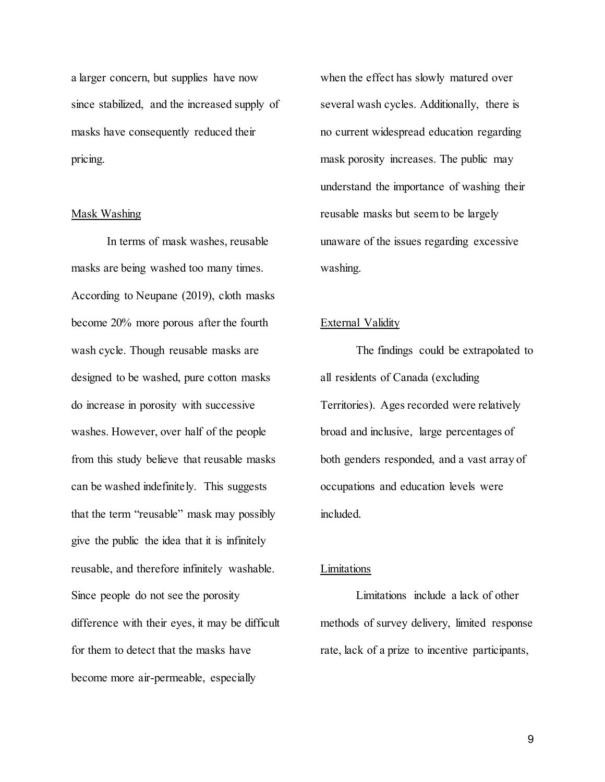a larger concern, but supplies have now since stabilized, and the increased supply of masks have consequently reduced their pricing.

### Mask Washing

In terms of mask washes, reusable masks are being washed too many times. According to Neupane (2019), cloth masks become 20% more porous after the fourth wash cycle. Though reusable masks are designed to be washed, pure cotton masks do increase in porosity with successive washes. However, over half of the people from this study believe that reusable masks can be washed indefinitely. This suggests that the term "reusable" mask may possibly give the public the idea that it is infinitely reusable, and therefore infinitely washable. Since people do not see the porosity difference with their eyes, it may be difficult for them to detect that the masks have become more air-permeable, especially

when the effect has slowly matured over several wash cycles. Additionally, there is no current widespread education regarding mask porosity increases. The public may understand the importance of washing their reusable masks but seem to be largely unaware of the issues regarding excessive washing.

## External Validity

The findings could be extrapolated to all residents of Canada (excluding Territories). Ages recorded were relatively broad and inclusive, large percentages of both genders responded, and a vast array of occupations and education levels were included.

## Limitations

Limitations include a lack of other methods of survey delivery, limited response rate, lack of a prize to incentive participants,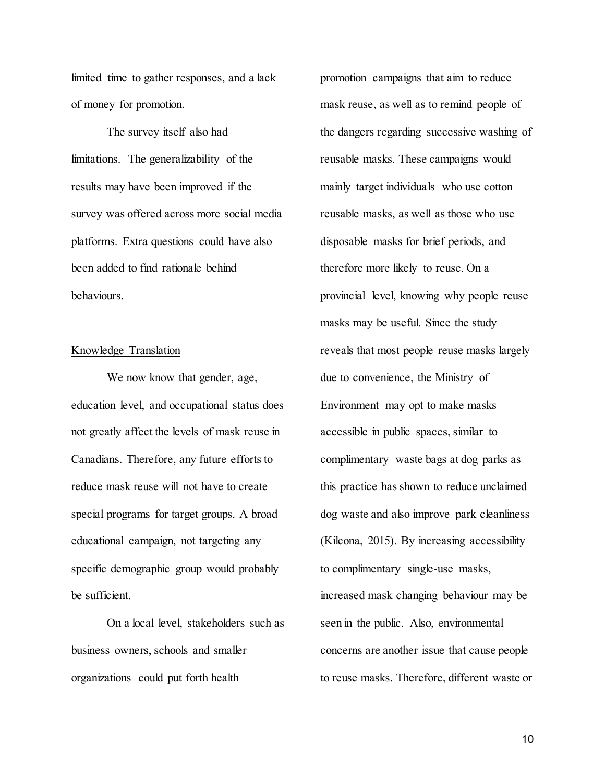limited time to gather responses, and a lack of money for promotion.

The survey itself also had limitations. The generalizability of the results may have been improved if the survey was offered across more social media platforms. Extra questions could have also been added to find rationale behind behaviours.

## Knowledge Translation

We now know that gender, age, education level, and occupational status does not greatly affect the levels of mask reuse in Canadians. Therefore, any future efforts to reduce mask reuse will not have to create special programs for target groups. A broad educational campaign, not targeting any specific demographic group would probably be sufficient.

On a local level, stakeholders such as business owners, schools and smaller organizations could put forth health

promotion campaigns that aim to reduce mask reuse, as well as to remind people of the dangers regarding successive washing of reusable masks. These campaigns would mainly target individuals who use cotton reusable masks, as well as those who use disposable masks for brief periods, and therefore more likely to reuse. On a provincial level, knowing why people reuse masks may be useful. Since the study reveals that most people reuse masks largely due to convenience, the Ministry of Environment may opt to make masks accessible in public spaces, similar to complimentary waste bags at dog parks as this practice has shown to reduce unclaimed dog waste and also improve park cleanliness (Kilcona, 2015). By increasing accessibility to complimentary single-use masks, increased mask changing behaviour may be seen in the public. Also, environmental concerns are another issue that cause people to reuse masks. Therefore, different waste or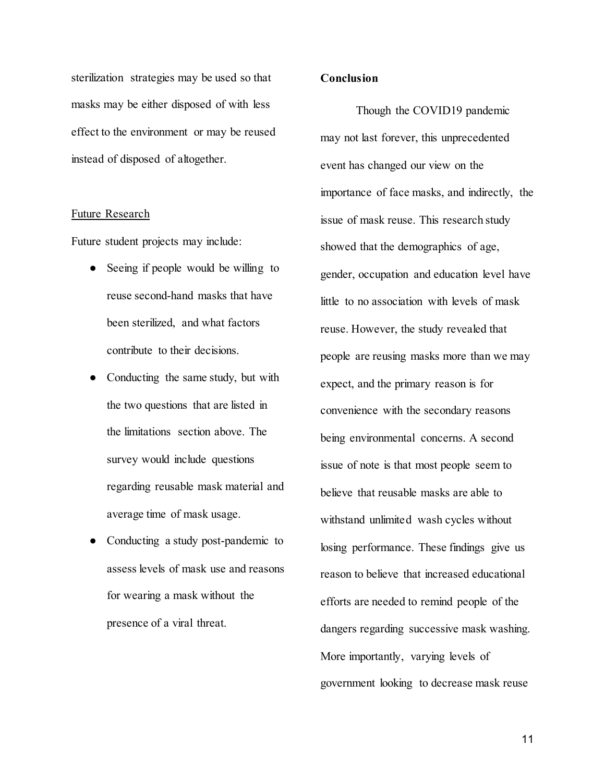sterilization strategies may be used so that masks may be either disposed of with less effect to the environment or may be reused instead of disposed of altogether.

### Future Research

Future student projects may include:

- Seeing if people would be willing to reuse second-hand masks that have been sterilized, and what factors contribute to their decisions.
- Conducting the same study, but with the two questions that are listed in the limitations section above. The survey would include questions regarding reusable mask material and average time of mask usage.
- Conducting a study post-pandemic to assess levels of mask use and reasons for wearing a mask without the presence of a viral threat.

### **Conclusion**

Though the COVID19 pandemic may not last forever, this unprecedented event has changed our view on the importance of face masks, and indirectly, the issue of mask reuse. This research study showed that the demographics of age, gender, occupation and education level have little to no association with levels of mask reuse. However, the study revealed that people are reusing masks more than we may expect, and the primary reason is for convenience with the secondary reasons being environmental concerns. A second issue of note is that most people seem to believe that reusable masks are able to withstand unlimited wash cycles without losing performance. These findings give us reason to believe that increased educational efforts are needed to remind people of the dangers regarding successive mask washing. More importantly, varying levels of government looking to decrease mask reuse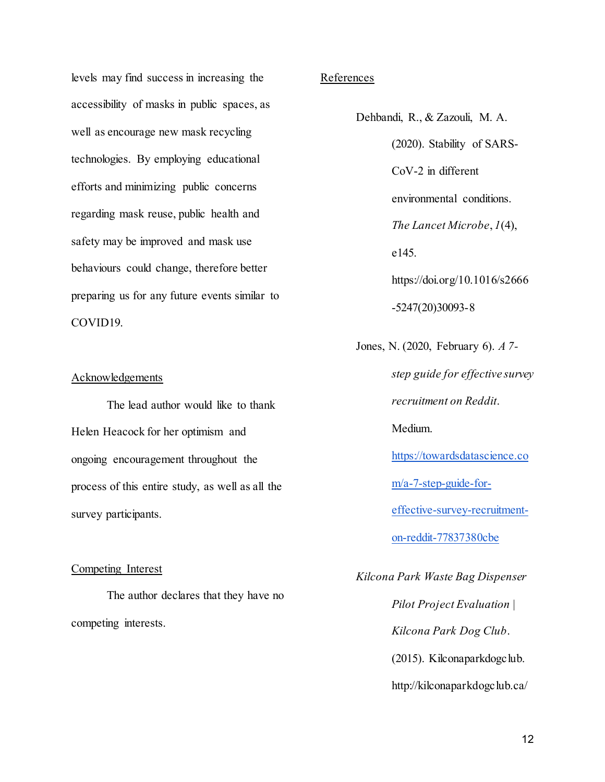levels may find success in increasing the accessibility of masks in public spaces, as well as encourage new mask recycling technologies. By employing educational efforts and minimizing public concerns regarding mask reuse, public health and safety may be improved and mask use behaviours could change, therefore better preparing us for any future events similar to COVID19.

### **Acknowledgements**

The lead author would like to thank Helen Heacock for her optimism and ongoing encouragement throughout the process of this entire study, as well as all the survey participants.

### Competing Interest

The author declares that they have no competing interests.

## References

Dehbandi, R., & Zazouli, M. A. (2020). Stability of SARS-CoV-2 in different environmental conditions. *The Lancet Microbe*, *1*(4), e145. https://doi.org/10.1016/s2666 -5247(20)30093-8 Jones, N. (2020, February 6). *A 7-*

> *step guide for effective survey recruitment on Reddit*. Medium. [https://towardsdatascience.co](https://towardsdatascience.com/a-7-step-guide-for-effective-survey-recruitment-on-reddit-77837380cbe) [m/a-7-step-guide-for](https://towardsdatascience.com/a-7-step-guide-for-effective-survey-recruitment-on-reddit-77837380cbe)[effective-survey-recruitment](https://towardsdatascience.com/a-7-step-guide-for-effective-survey-recruitment-on-reddit-77837380cbe)[on-reddit-77837380cbe](https://towardsdatascience.com/a-7-step-guide-for-effective-survey-recruitment-on-reddit-77837380cbe)

*Kilcona Park Waste Bag Dispenser Pilot Project Evaluation | Kilcona Park Dog Club*.  $(2015)$ . Kilconaparkdogclub. http://kilconaparkdogclub.ca/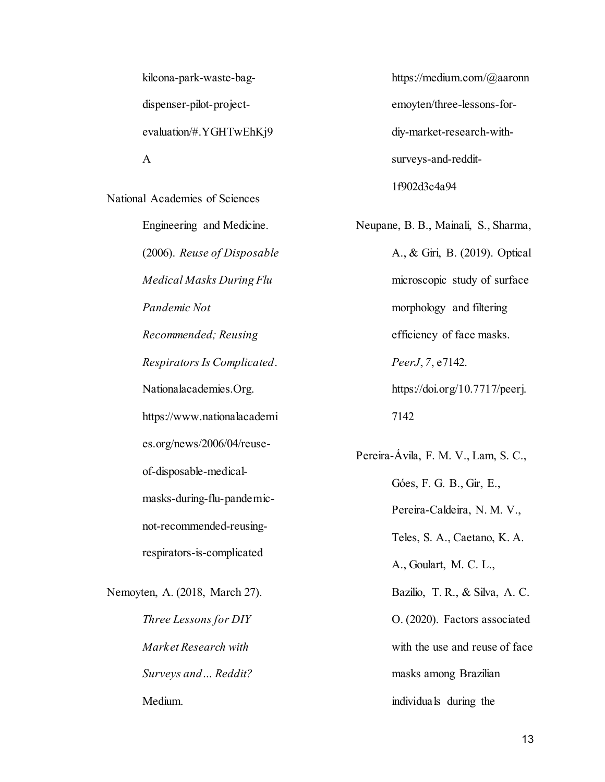kilcona-park-waste-bagdispenser-pilot-projectevaluation/#.YGHTwEhKj9 A

National Academies of Sciences

Engineering and Medicine. (2006). *Reuse of Disposable Medical Masks During Flu Pandemic Not Recommended; Reusing Respirators Is Complicated*. Nationalacademies.Org. https://www.nationalacademi es.org/news/2006/04/reuseof-disposable-medicalmasks-during-flu-pandemicnot-recommended-reusingrespirators-is-complicated

Nemoyten, A. (2018, March 27). *Three Lessons for DIY Market Research with Surveys and… Reddit?* Medium.

https://medium.com/@aaronn emoyten/three-lessons-fordiy-market-research-withsurveys-and-reddit-1f902d3c4a94

Neupane, B. B., Mainali, S., Sharma, A., & Giri, B. (2019). Optical microscopic study of surface morphology and filtering efficiency of face masks. *PeerJ*, *7*, e7142. https://doi.org/10.7717/peerj.

7142

Pereira-Ávila, F. M. V., Lam, S. C., Góes, F. G. B., Gir, E., Pereira-Caldeira, N. M. V., Teles, S. A., Caetano, K. A. A., Goulart, M. C. L., Bazilio, T. R., & Silva, A. C. O. (2020). Factors associated with the use and reuse of face masks among Brazilian individuals during the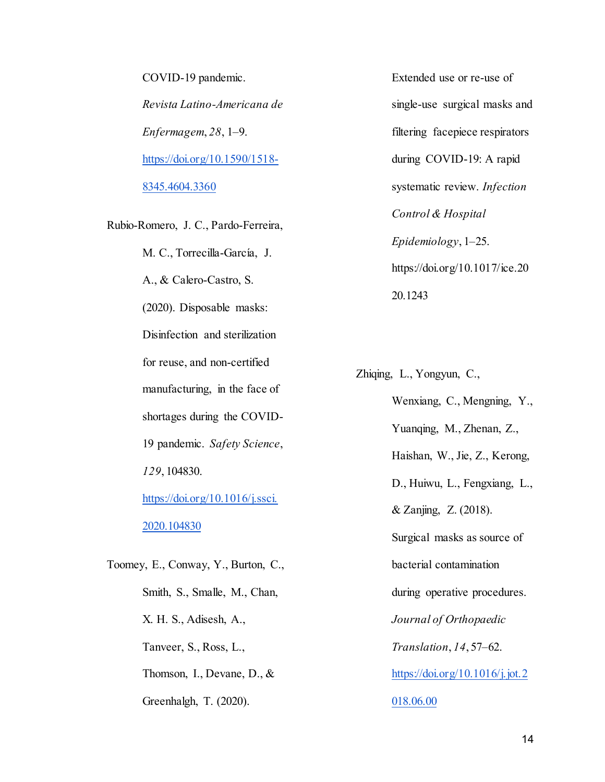COVID-19 pandemic. *Revista Latino-Americana de Enfermagem*, *28*, 1–9. [https://doi.org/10.1590/1518-](https://doi.org/10.1590/1518-8345.4604.3360) [8345.4604.3360](https://doi.org/10.1590/1518-8345.4604.3360)

Rubio-Romero, J. C., Pardo-Ferreira, M. C., Torrecilla-García, J. A., & Calero-Castro, S. (2020). Disposable masks: Disinfection and sterilization for reuse, and non-certified manufacturing, in the face of shortages during the COVID-19 pandemic. *Safety Science*, *129*, 104830. [https://doi.org/10.1016/j.ssci.](https://doi.org/10.1016/j.ssci.2020.104830) [2020.104830](https://doi.org/10.1016/j.ssci.2020.104830) Toomey, E., Conway, Y., Burton, C.,

Smith, S., Smalle, M., Chan, X. H. S., Adisesh, A., Tanveer, S., Ross, L., Thomson, I., Devane, D., & Greenhalgh, T. (2020).

Extended use or re-use of single-use surgical masks and filtering facepiece respirators during COVID-19: A rapid systematic review. *Infection Control & Hospital Epidemiology*, 1–25. https://doi.org/10.1017/ice.20 20.1243

Zhiqing, L., Yongyun, C., Wenxiang, C., Mengning, Y., Yuanqing, M., Zhenan, Z., Haishan, W., Jie, Z., Kerong, D., Huiwu, L., Fengxiang, L., & Zanjing, Z. (2018). Surgical masks as source of bacterial contamination during operative procedures. *Journal of Orthopaedic Translation*, *14*, 57–62. [https://doi.org/10.1016/j.jot.2](https://doi.org/10.1016/j.jot.2018.06.00) [018.06.00](https://doi.org/10.1016/j.jot.2018.06.00)